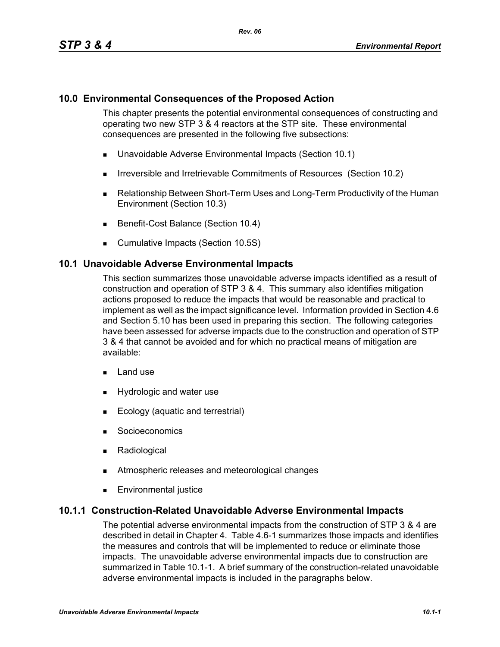## **10.0 Environmental Consequences of the Proposed Action**

This chapter presents the potential environmental consequences of constructing and operating two new STP 3 & 4 reactors at the STP site. These environmental consequences are presented in the following five subsections:

- Unavoidable Adverse Environmental Impacts (Section 10.1)
- **IFIRE 19.5 Irreversible and Irretrievable Commitments of Resources (Section 10.2)**
- Relationship Between Short-Term Uses and Long-Term Productivity of the Human Environment (Section 10.3)
- Benefit-Cost Balance (Section 10.4)
- **Cumulative Impacts (Section 10.5S)**

#### **10.1 Unavoidable Adverse Environmental Impacts**

This section summarizes those unavoidable adverse impacts identified as a result of construction and operation of STP 3 & 4. This summary also identifies mitigation actions proposed to reduce the impacts that would be reasonable and practical to implement as well as the impact significance level. Information provided in Section 4.6 and Section 5.10 has been used in preparing this section. The following categories have been assessed for adverse impacts due to the construction and operation of STP 3 & 4 that cannot be avoided and for which no practical means of mitigation are available:

- $\blacksquare$  Land use
- **Hydrologic and water use**
- **Ecology (aquatic and terrestrial)**
- **Socioeconomics**
- **Radiological**
- **EXECUTE:** Atmospheric releases and meteorological changes
- **Environmental justice**

#### **10.1.1 Construction-Related Unavoidable Adverse Environmental Impacts**

The potential adverse environmental impacts from the construction of STP 3 & 4 are described in detail in Chapter 4. Table 4.6-1 summarizes those impacts and identifies the measures and controls that will be implemented to reduce or eliminate those impacts. The unavoidable adverse environmental impacts due to construction are summarized in Table 10.1-1. A brief summary of the construction-related unavoidable adverse environmental impacts is included in the paragraphs below.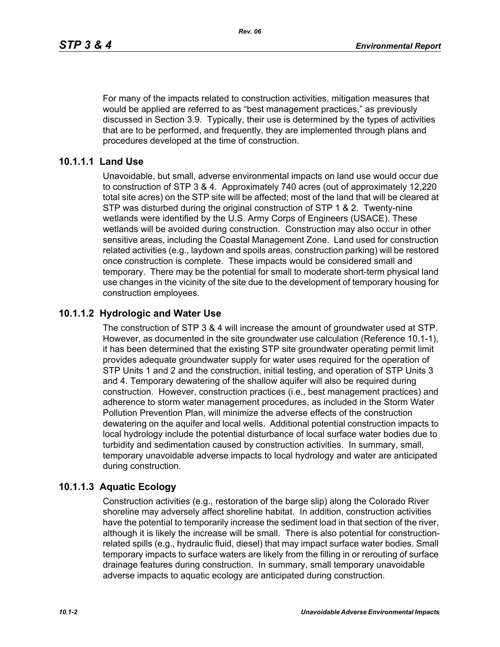For many of the impacts related to construction activities, mitigation measures that would be applied are referred to as "best management practices," as previously discussed in Section 3.9. Typically, their use is determined by the types of activities that are to be performed, and frequently, they are implemented through plans and procedures developed at the time of construction.

### **10.1.1.1 Land Use**

Unavoidable, but small, adverse environmental impacts on land use would occur due to construction of STP 3 & 4. Approximately 740 acres (out of approximately 12,220 total site acres) on the STP site will be affected; most of the land that will be cleared at STP was disturbed during the original construction of STP 1 & 2. Twenty-nine wetlands were identified by the U.S. Army Corps of Engineers (USACE). These wetlands will be avoided during construction. Construction may also occur in other sensitive areas, including the Coastal Management Zone. Land used for construction related activities (e.g., laydown and spoils areas, construction parking) will be restored once construction is complete. These impacts would be considered small and temporary. There may be the potential for small to moderate short-term physical land use changes in the vicinity of the site due to the development of temporary housing for construction employees.

### **10.1.1.2 Hydrologic and Water Use**

The construction of STP 3 & 4 will increase the amount of groundwater used at STP. However, as documented in the site groundwater use calculation (Reference 10.1-1), it has been determined that the existing STP site groundwater operating permit limit provides adequate groundwater supply for water uses required for the operation of STP Units 1 and 2 and the construction, initial testing, and operation of STP Units 3 and 4. Temporary dewatering of the shallow aquifer will also be required during construction. However, construction practices (i.e., best management practices) and adherence to storm water management procedures, as included in the Storm Water Pollution Prevention Plan, will minimize the adverse effects of the construction dewatering on the aquifer and local wells. Additional potential construction impacts to local hydrology include the potential disturbance of local surface water bodies due to turbidity and sedimentation caused by construction activities. In summary, small, temporary unavoidable adverse impacts to local hydrology and water are anticipated during construction.

#### **10.1.1.3 Aquatic Ecology**

Construction activities (e.g., restoration of the barge slip) along the Colorado River shoreline may adversely affect shoreline habitat. In addition, construction activities have the potential to temporarily increase the sediment load in that section of the river, although it is likely the increase will be small. There is also potential for constructionrelated spills (e.g., hydraulic fluid, diesel) that may impact surface water bodies. Small temporary impacts to surface waters are likely from the filling in or rerouting of surface drainage features during construction. In summary, small temporary unavoidable adverse impacts to aquatic ecology are anticipated during construction.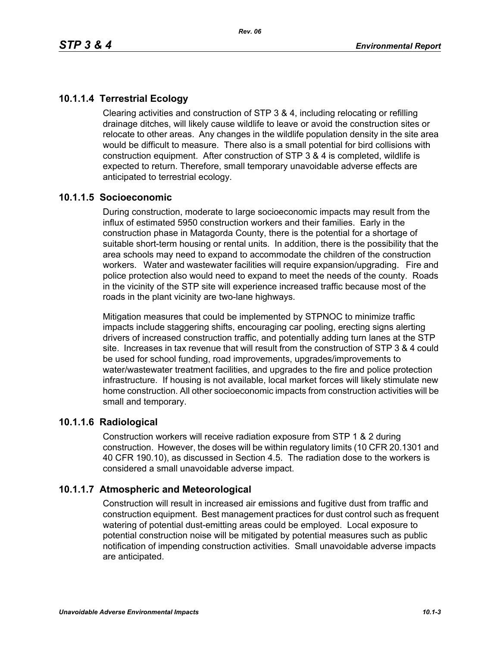# **10.1.1.4 Terrestrial Ecology**

Clearing activities and construction of STP 3 & 4, including relocating or refilling drainage ditches, will likely cause wildlife to leave or avoid the construction sites or relocate to other areas. Any changes in the wildlife population density in the site area would be difficult to measure. There also is a small potential for bird collisions with construction equipment. After construction of STP 3 & 4 is completed, wildlife is expected to return. Therefore, small temporary unavoidable adverse effects are anticipated to terrestrial ecology.

### **10.1.1.5 Socioeconomic**

During construction, moderate to large socioeconomic impacts may result from the influx of estimated 5950 construction workers and their families. Early in the construction phase in Matagorda County, there is the potential for a shortage of suitable short-term housing or rental units. In addition, there is the possibility that the area schools may need to expand to accommodate the children of the construction workers. Water and wastewater facilities will require expansion/upgrading. Fire and police protection also would need to expand to meet the needs of the county. Roads in the vicinity of the STP site will experience increased traffic because most of the roads in the plant vicinity are two-lane highways.

Mitigation measures that could be implemented by STPNOC to minimize traffic impacts include staggering shifts, encouraging car pooling, erecting signs alerting drivers of increased construction traffic, and potentially adding turn lanes at the STP site. Increases in tax revenue that will result from the construction of STP 3 & 4 could be used for school funding, road improvements, upgrades/improvements to water/wastewater treatment facilities, and upgrades to the fire and police protection infrastructure. If housing is not available, local market forces will likely stimulate new home construction. All other socioeconomic impacts from construction activities will be small and temporary.

#### **10.1.1.6 Radiological**

Construction workers will receive radiation exposure from STP 1 & 2 during construction. However, the doses will be within regulatory limits (10 CFR 20.1301 and 40 CFR 190.10), as discussed in Section 4.5. The radiation dose to the workers is considered a small unavoidable adverse impact.

## **10.1.1.7 Atmospheric and Meteorological**

Construction will result in increased air emissions and fugitive dust from traffic and construction equipment. Best management practices for dust control such as frequent watering of potential dust-emitting areas could be employed. Local exposure to potential construction noise will be mitigated by potential measures such as public notification of impending construction activities. Small unavoidable adverse impacts are anticipated.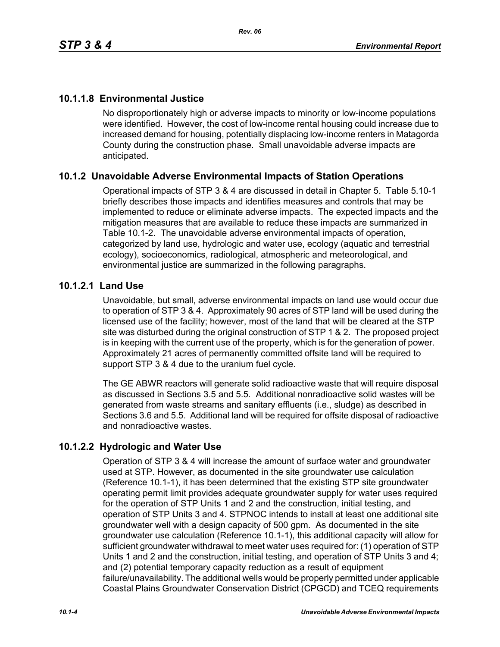# **10.1.1.8 Environmental Justice**

No disproportionately high or adverse impacts to minority or low-income populations were identified. However, the cost of low-income rental housing could increase due to increased demand for housing, potentially displacing low-income renters in Matagorda County during the construction phase. Small unavoidable adverse impacts are anticipated.

## **10.1.2 Unavoidable Adverse Environmental Impacts of Station Operations**

Operational impacts of STP 3 & 4 are discussed in detail in Chapter 5. Table 5.10-1 briefly describes those impacts and identifies measures and controls that may be implemented to reduce or eliminate adverse impacts. The expected impacts and the mitigation measures that are available to reduce these impacts are summarized in Table 10.1-2. The unavoidable adverse environmental impacts of operation, categorized by land use, hydrologic and water use, ecology (aquatic and terrestrial ecology), socioeconomics, radiological, atmospheric and meteorological, and environmental justice are summarized in the following paragraphs.

### **10.1.2.1 Land Use**

Unavoidable, but small, adverse environmental impacts on land use would occur due to operation of STP 3 & 4. Approximately 90 acres of STP land will be used during the licensed use of the facility; however, most of the land that will be cleared at the STP site was disturbed during the original construction of STP 1 & 2. The proposed project is in keeping with the current use of the property, which is for the generation of power. Approximately 21 acres of permanently committed offsite land will be required to support STP 3 & 4 due to the uranium fuel cycle.

The GE ABWR reactors will generate solid radioactive waste that will require disposal as discussed in Sections 3.5 and 5.5. Additional nonradioactive solid wastes will be generated from waste streams and sanitary effluents (i.e., sludge) as described in Sections 3.6 and 5.5. Additional land will be required for offsite disposal of radioactive and nonradioactive wastes.

## **10.1.2.2 Hydrologic and Water Use**

Operation of STP 3 & 4 will increase the amount of surface water and groundwater used at STP. However, as documented in the site groundwater use calculation (Reference 10.1-1), it has been determined that the existing STP site groundwater operating permit limit provides adequate groundwater supply for water uses required for the operation of STP Units 1 and 2 and the construction, initial testing, and operation of STP Units 3 and 4. STPNOC intends to install at least one additional site groundwater well with a design capacity of 500 gpm. As documented in the site groundwater use calculation (Reference 10.1-1), this additional capacity will allow for sufficient groundwater withdrawal to meet water uses required for: (1) operation of STP Units 1 and 2 and the construction, initial testing, and operation of STP Units 3 and 4; and (2) potential temporary capacity reduction as a result of equipment failure/unavailability. The additional wells would be properly permitted under applicable Coastal Plains Groundwater Conservation District (CPGCD) and TCEQ requirements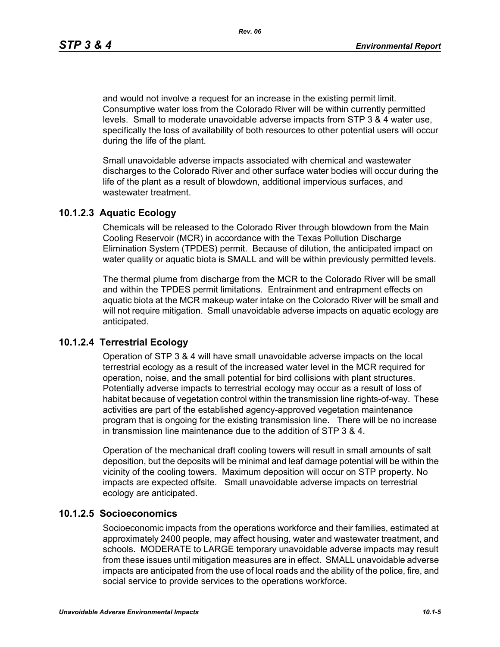and would not involve a request for an increase in the existing permit limit. Consumptive water loss from the Colorado River will be within currently permitted levels. Small to moderate unavoidable adverse impacts from STP 3 & 4 water use, specifically the loss of availability of both resources to other potential users will occur during the life of the plant.

Small unavoidable adverse impacts associated with chemical and wastewater discharges to the Colorado River and other surface water bodies will occur during the life of the plant as a result of blowdown, additional impervious surfaces, and wastewater treatment.

#### **10.1.2.3 Aquatic Ecology**

Chemicals will be released to the Colorado River through blowdown from the Main Cooling Reservoir (MCR) in accordance with the Texas Pollution Discharge Elimination System (TPDES) permit. Because of dilution, the anticipated impact on water quality or aquatic biota is SMALL and will be within previously permitted levels.

The thermal plume from discharge from the MCR to the Colorado River will be small and within the TPDES permit limitations. Entrainment and entrapment effects on aquatic biota at the MCR makeup water intake on the Colorado River will be small and will not require mitigation. Small unavoidable adverse impacts on aquatic ecology are anticipated.

#### **10.1.2.4 Terrestrial Ecology**

Operation of STP 3 & 4 will have small unavoidable adverse impacts on the local terrestrial ecology as a result of the increased water level in the MCR required for operation, noise, and the small potential for bird collisions with plant structures. Potentially adverse impacts to terrestrial ecology may occur as a result of loss of habitat because of vegetation control within the transmission line rights-of-way. These activities are part of the established agency-approved vegetation maintenance program that is ongoing for the existing transmission line. There will be no increase in transmission line maintenance due to the addition of STP 3 & 4.

Operation of the mechanical draft cooling towers will result in small amounts of salt deposition, but the deposits will be minimal and leaf damage potential will be within the vicinity of the cooling towers. Maximum deposition will occur on STP property. No impacts are expected offsite. Small unavoidable adverse impacts on terrestrial ecology are anticipated.

#### **10.1.2.5 Socioeconomics**

Socioeconomic impacts from the operations workforce and their families, estimated at approximately 2400 people, may affect housing, water and wastewater treatment, and schools. MODERATE to LARGE temporary unavoidable adverse impacts may result from these issues until mitigation measures are in effect. SMALL unavoidable adverse impacts are anticipated from the use of local roads and the ability of the police, fire, and social service to provide services to the operations workforce.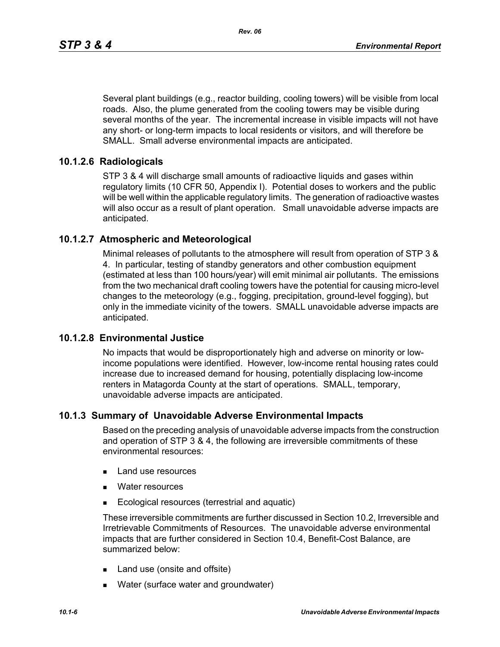Several plant buildings (e.g., reactor building, cooling towers) will be visible from local roads. Also, the plume generated from the cooling towers may be visible during several months of the year. The incremental increase in visible impacts will not have any short- or long-term impacts to local residents or visitors, and will therefore be SMALL. Small adverse environmental impacts are anticipated.

### **10.1.2.6 Radiologicals**

STP 3 & 4 will discharge small amounts of radioactive liquids and gases within regulatory limits (10 CFR 50, Appendix I). Potential doses to workers and the public will be well within the applicable regulatory limits. The generation of radioactive wastes will also occur as a result of plant operation. Small unavoidable adverse impacts are anticipated.

### **10.1.2.7 Atmospheric and Meteorological**

Minimal releases of pollutants to the atmosphere will result from operation of STP 3 & 4. In particular, testing of standby generators and other combustion equipment (estimated at less than 100 hours/year) will emit minimal air pollutants. The emissions from the two mechanical draft cooling towers have the potential for causing micro-level changes to the meteorology (e.g., fogging, precipitation, ground-level fogging), but only in the immediate vicinity of the towers. SMALL unavoidable adverse impacts are anticipated.

#### **10.1.2.8 Environmental Justice**

No impacts that would be disproportionately high and adverse on minority or lowincome populations were identified. However, low-income rental housing rates could increase due to increased demand for housing, potentially displacing low-income renters in Matagorda County at the start of operations. SMALL, temporary, unavoidable adverse impacts are anticipated.

#### **10.1.3 Summary of Unavoidable Adverse Environmental Impacts**

Based on the preceding analysis of unavoidable adverse impacts from the construction and operation of STP 3 & 4, the following are irreversible commitments of these environmental resources:

- **Land use resources**
- **Nater resources**
- **Ecological resources (terrestrial and aquatic)**

These irreversible commitments are further discussed in Section 10.2, Irreversible and Irretrievable Commitments of Resources. The unavoidable adverse environmental impacts that are further considered in Section 10.4, Benefit-Cost Balance, are summarized below:

- Land use (onsite and offsite)
- **Nater (surface water and groundwater)**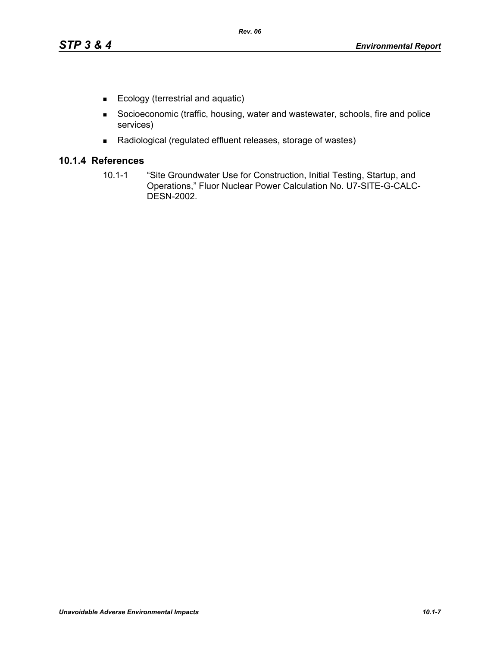- Ecology (terrestrial and aquatic)
- Socioeconomic (traffic, housing, water and wastewater, schools, fire and police services)
- Radiological (regulated effluent releases, storage of wastes)

## **10.1.4 References**

10.1-1 "Site Groundwater Use for Construction, Initial Testing, Startup, and Operations," Fluor Nuclear Power Calculation No. U7-SITE-G-CALC-DESN-2002.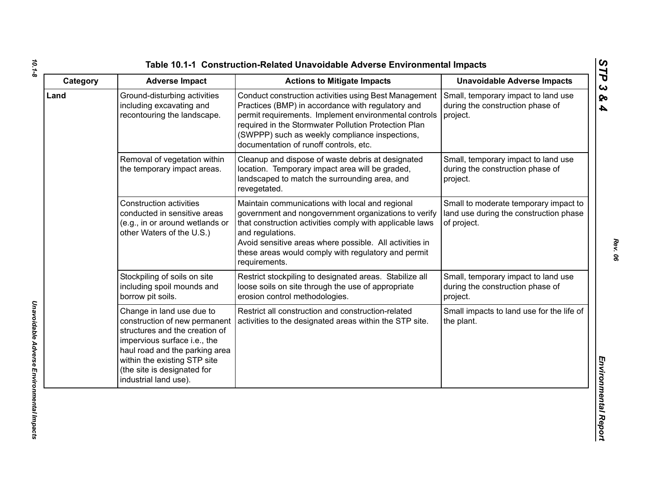| Category | <b>Adverse Impact</b>                                                                                                                                                                                                                                  | <b>Actions to Mitigate Impacts</b>                                                                                                                                                                                                                                                                                         | <b>Unavoidable Adverse Impacts</b>                                                             |
|----------|--------------------------------------------------------------------------------------------------------------------------------------------------------------------------------------------------------------------------------------------------------|----------------------------------------------------------------------------------------------------------------------------------------------------------------------------------------------------------------------------------------------------------------------------------------------------------------------------|------------------------------------------------------------------------------------------------|
| Land     | Ground-disturbing activities<br>including excavating and<br>recontouring the landscape.                                                                                                                                                                | Conduct construction activities using Best Management<br>Practices (BMP) in accordance with regulatory and<br>permit requirements. Implement environmental controls<br>required in the Stormwater Pollution Protection Plan<br>(SWPPP) such as weekly compliance inspections,<br>documentation of runoff controls, etc.    | Small, temporary impact to land use<br>during the construction phase of<br>project.            |
|          | Removal of vegetation within<br>the temporary impact areas.                                                                                                                                                                                            | Cleanup and dispose of waste debris at designated<br>location. Temporary impact area will be graded,<br>landscaped to match the surrounding area, and<br>revegetated.                                                                                                                                                      | Small, temporary impact to land use<br>during the construction phase of<br>project.            |
|          | <b>Construction activities</b><br>conducted in sensitive areas<br>(e.g., in or around wetlands or<br>other Waters of the U.S.)                                                                                                                         | Maintain communications with local and regional<br>government and nongovernment organizations to verify<br>that construction activities comply with applicable laws<br>and regulations.<br>Avoid sensitive areas where possible. All activities in<br>these areas would comply with regulatory and permit<br>requirements. | Small to moderate temporary impact to<br>land use during the construction phase<br>of project. |
|          | Stockpiling of soils on site<br>including spoil mounds and<br>borrow pit soils.                                                                                                                                                                        | Restrict stockpiling to designated areas. Stabilize all<br>loose soils on site through the use of appropriate<br>erosion control methodologies.                                                                                                                                                                            | Small, temporary impact to land use<br>during the construction phase of<br>project.            |
|          | Change in land use due to<br>construction of new permanent<br>structures and the creation of<br>impervious surface i.e., the<br>haul road and the parking area<br>within the existing STP site<br>(the site is designated for<br>industrial land use). | Restrict all construction and construction-related<br>activities to the designated areas within the STP site.                                                                                                                                                                                                              | Small impacts to land use for the life of<br>the plant.                                        |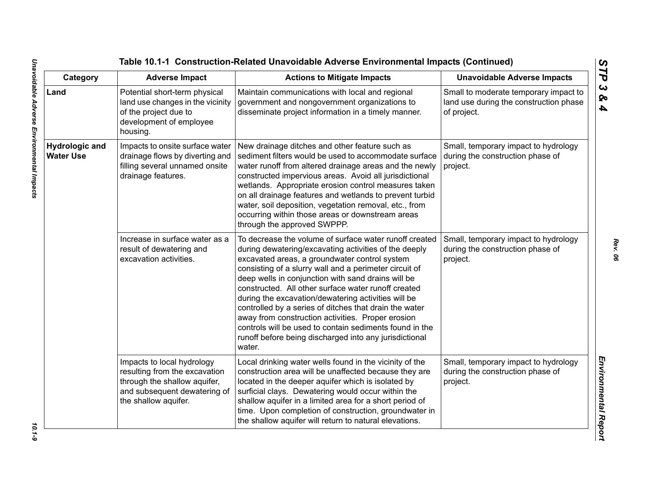| Category                                  | <b>Adverse Impact</b>                                                                                                                               | <b>Actions to Mitigate Impacts</b>                                                                                                                                                                                                                                                                                                                                                                                                                                                                                                                                                                                                           | <b>Unavoidable Adverse Impacts</b>                                                             |
|-------------------------------------------|-----------------------------------------------------------------------------------------------------------------------------------------------------|----------------------------------------------------------------------------------------------------------------------------------------------------------------------------------------------------------------------------------------------------------------------------------------------------------------------------------------------------------------------------------------------------------------------------------------------------------------------------------------------------------------------------------------------------------------------------------------------------------------------------------------------|------------------------------------------------------------------------------------------------|
| Land                                      | Potential short-term physical<br>land use changes in the vicinity<br>of the project due to<br>development of employee<br>housing.                   | Maintain communications with local and regional<br>government and nongovernment organizations to<br>disseminate project information in a timely manner.                                                                                                                                                                                                                                                                                                                                                                                                                                                                                      | Small to moderate temporary impact to<br>land use during the construction phase<br>of project. |
| <b>Hydrologic and</b><br><b>Water Use</b> | Impacts to onsite surface water<br>drainage flows by diverting and<br>filling several unnamed onsite<br>drainage features.                          | New drainage ditches and other feature such as<br>sediment filters would be used to accommodate surface<br>water runoff from altered drainage areas and the newly<br>constructed impervious areas. Avoid all jurisdictional<br>wetlands. Appropriate erosion control measures taken<br>on all drainage features and wetlands to prevent turbid<br>water, soil deposition, vegetation removal, etc., from<br>occurring within those areas or downstream areas<br>through the approved SWPPP.                                                                                                                                                  | Small, temporary impact to hydrology<br>during the construction phase of<br>project.           |
|                                           | Increase in surface water as a<br>result of dewatering and<br>excavation activities.                                                                | To decrease the volume of surface water runoff created<br>during dewatering/excavating activities of the deeply<br>excavated areas, a groundwater control system<br>consisting of a slurry wall and a perimeter circuit of<br>deep wells in conjunction with sand drains will be<br>constructed. All other surface water runoff created<br>during the excavation/dewatering activities will be<br>controlled by a series of ditches that drain the water<br>away from construction activities. Proper erosion<br>controls will be used to contain sediments found in the<br>runoff before being discharged into any jurisdictional<br>water. | Small, temporary impact to hydrology<br>during the construction phase of<br>project.           |
|                                           | Impacts to local hydrology<br>resulting from the excavation<br>through the shallow aquifer,<br>and subsequent dewatering of<br>the shallow aquifer. | Local drinking water wells found in the vicinity of the<br>construction area will be unaffected because they are<br>located in the deeper aquifer which is isolated by<br>surficial clays. Dewatering would occur within the<br>shallow aquifer in a limited area for a short period of<br>time. Upon completion of construction, groundwater in<br>the shallow aquifer will return to natural elevations.                                                                                                                                                                                                                                   | Small, temporary impact to hydrology<br>during the construction phase of<br>project.           |

 $10.1 - 9$ 

*Rev. 06*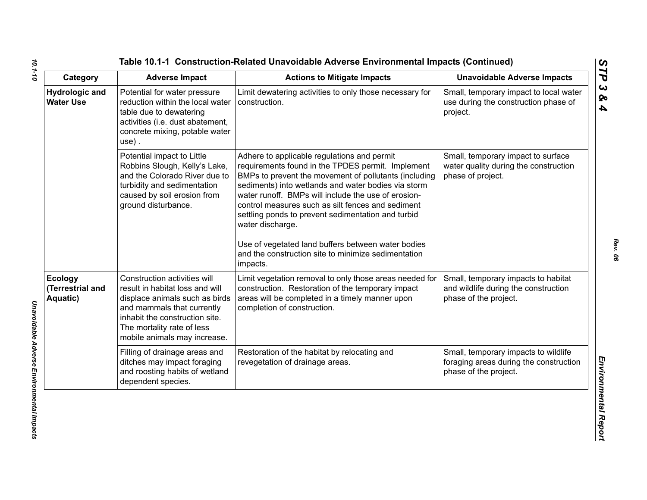| Category                                       | <b>Adverse Impact</b>                                                                                                                                                                                                           | <b>Actions to Mitigate Impacts</b>                                                                                                                                                                                                                                                                                                                                                                                                                                                                                              | <b>Unavoidable Adverse Impacts</b>                                                                      |
|------------------------------------------------|---------------------------------------------------------------------------------------------------------------------------------------------------------------------------------------------------------------------------------|---------------------------------------------------------------------------------------------------------------------------------------------------------------------------------------------------------------------------------------------------------------------------------------------------------------------------------------------------------------------------------------------------------------------------------------------------------------------------------------------------------------------------------|---------------------------------------------------------------------------------------------------------|
| <b>Hydrologic and</b><br><b>Water Use</b>      | Potential for water pressure<br>reduction within the local water<br>table due to dewatering<br>activities (i.e. dust abatement,<br>concrete mixing, potable water<br>$use)$ .                                                   | Limit dewatering activities to only those necessary for<br>construction.                                                                                                                                                                                                                                                                                                                                                                                                                                                        | Small, temporary impact to local water<br>use during the construction phase of<br>project.              |
|                                                | Potential impact to Little<br>Robbins Slough, Kelly's Lake,<br>and the Colorado River due to<br>turbidity and sedimentation<br>caused by soil erosion from<br>ground disturbance.                                               | Adhere to applicable regulations and permit<br>requirements found in the TPDES permit. Implement<br>BMPs to prevent the movement of pollutants (including<br>sediments) into wetlands and water bodies via storm<br>water runoff. BMPs will include the use of erosion-<br>control measures such as silt fences and sediment<br>settling ponds to prevent sedimentation and turbid<br>water discharge.<br>Use of vegetated land buffers between water bodies<br>and the construction site to minimize sedimentation<br>impacts. | Small, temporary impact to surface<br>water quality during the construction<br>phase of project.        |
| <b>Ecology</b><br>(Terrestrial and<br>Aquatic) | Construction activities will<br>result in habitat loss and will<br>displace animals such as birds<br>and mammals that currently<br>inhabit the construction site.<br>The mortality rate of less<br>mobile animals may increase. | Limit vegetation removal to only those areas needed for<br>construction. Restoration of the temporary impact<br>areas will be completed in a timely manner upon<br>completion of construction.                                                                                                                                                                                                                                                                                                                                  | Small, temporary impacts to habitat<br>and wildlife during the construction<br>phase of the project.    |
|                                                | Filling of drainage areas and<br>ditches may impact foraging<br>and roosting habits of wetland<br>dependent species.                                                                                                            | Restoration of the habitat by relocating and<br>revegetation of drainage areas.                                                                                                                                                                                                                                                                                                                                                                                                                                                 | Small, temporary impacts to wildlife<br>foraging areas during the construction<br>phase of the project. |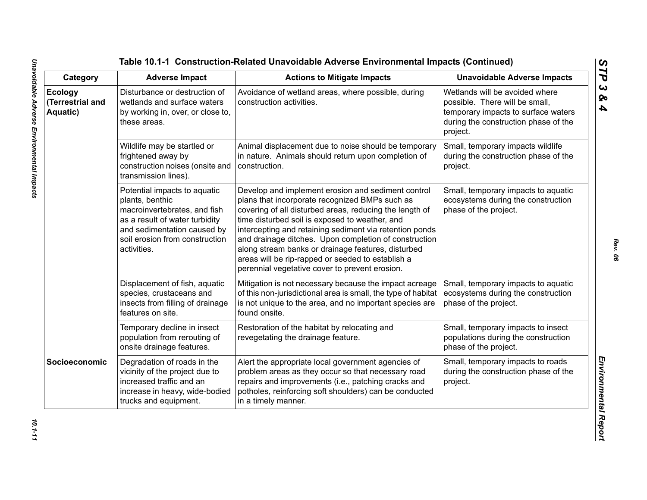| Category                                | <b>Adverse Impact</b>                                                                                                                                                                             | <b>Actions to Mitigate Impacts</b>                                                                                                                                                                                                                                                                                                                                                                                                                                                                 | <b>Unavoidable Adverse Impacts</b>                                                                                                                          |
|-----------------------------------------|---------------------------------------------------------------------------------------------------------------------------------------------------------------------------------------------------|----------------------------------------------------------------------------------------------------------------------------------------------------------------------------------------------------------------------------------------------------------------------------------------------------------------------------------------------------------------------------------------------------------------------------------------------------------------------------------------------------|-------------------------------------------------------------------------------------------------------------------------------------------------------------|
| Ecology<br>(Terrestrial and<br>Aquatic) | Disturbance or destruction of<br>wetlands and surface waters<br>by working in, over, or close to,<br>these areas.                                                                                 | Avoidance of wetland areas, where possible, during<br>construction activities.                                                                                                                                                                                                                                                                                                                                                                                                                     | Wetlands will be avoided where<br>possible. There will be small,<br>temporary impacts to surface waters<br>during the construction phase of the<br>project. |
|                                         | Wildlife may be startled or<br>frightened away by<br>construction noises (onsite and<br>transmission lines).                                                                                      | Animal displacement due to noise should be temporary<br>in nature. Animals should return upon completion of<br>construction.                                                                                                                                                                                                                                                                                                                                                                       | Small, temporary impacts wildlife<br>during the construction phase of the<br>project.                                                                       |
|                                         | Potential impacts to aquatic<br>plants, benthic<br>macroinvertebrates, and fish<br>as a result of water turbidity<br>and sedimentation caused by<br>soil erosion from construction<br>activities. | Develop and implement erosion and sediment control<br>plans that incorporate recognized BMPs such as<br>covering of all disturbed areas, reducing the length of<br>time disturbed soil is exposed to weather, and<br>intercepting and retaining sediment via retention ponds<br>and drainage ditches. Upon completion of construction<br>along stream banks or drainage features, disturbed<br>areas will be rip-rapped or seeded to establish a<br>perennial vegetative cover to prevent erosion. | Small, temporary impacts to aquatic<br>ecosystems during the construction<br>phase of the project.                                                          |
|                                         | Displacement of fish, aquatic<br>species, crustaceans and<br>insects from filling of drainage<br>features on site.                                                                                | Mitigation is not necessary because the impact acreage<br>of this non-jurisdictional area is small, the type of habitat<br>is not unique to the area, and no important species are<br>found onsite.                                                                                                                                                                                                                                                                                                | Small, temporary impacts to aquatic<br>ecosystems during the construction<br>phase of the project.                                                          |
|                                         | Temporary decline in insect<br>population from rerouting of<br>onsite drainage features.                                                                                                          | Restoration of the habitat by relocating and<br>revegetating the drainage feature.                                                                                                                                                                                                                                                                                                                                                                                                                 | Small, temporary impacts to insect<br>populations during the construction<br>phase of the project.                                                          |
| Socioeconomic                           | Degradation of roads in the<br>vicinity of the project due to<br>increased traffic and an<br>increase in heavy, wide-bodied<br>trucks and equipment.                                              | Alert the appropriate local government agencies of<br>problem areas as they occur so that necessary road<br>repairs and improvements (i.e., patching cracks and<br>potholes, reinforcing soft shoulders) can be conducted<br>in a timely manner.                                                                                                                                                                                                                                                   | Small, temporary impacts to roads<br>during the construction phase of the<br>project.                                                                       |

*STP 3 & 4*

10.1-11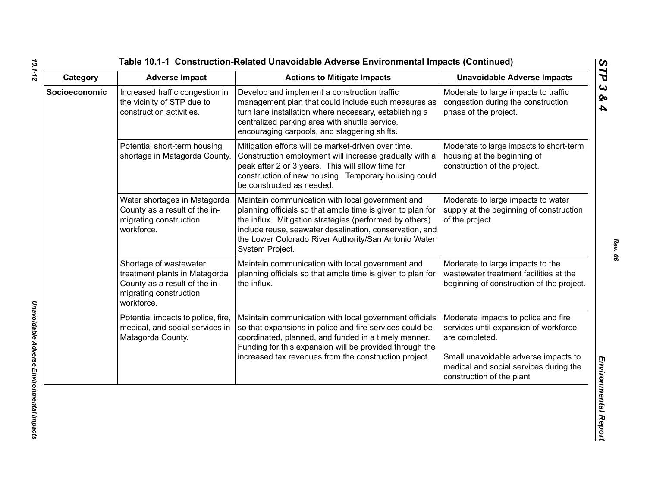| Category      | <b>Adverse Impact</b>                                                                                                            | <b>Actions to Mitigate Impacts</b>                                                                                                                                                                                                                                                                              | <b>Unavoidable Adverse Impacts</b>                                                                                                                                                                            |
|---------------|----------------------------------------------------------------------------------------------------------------------------------|-----------------------------------------------------------------------------------------------------------------------------------------------------------------------------------------------------------------------------------------------------------------------------------------------------------------|---------------------------------------------------------------------------------------------------------------------------------------------------------------------------------------------------------------|
| Socioeconomic | Increased traffic congestion in<br>the vicinity of STP due to<br>construction activities.                                        | Develop and implement a construction traffic<br>management plan that could include such measures as<br>turn lane installation where necessary, establishing a<br>centralized parking area with shuttle service,<br>encouraging carpools, and staggering shifts.                                                 | Moderate to large impacts to traffic<br>congestion during the construction<br>phase of the project.                                                                                                           |
|               | Potential short-term housing<br>shortage in Matagorda County.                                                                    | Mitigation efforts will be market-driven over time.<br>Construction employment will increase gradually with a<br>peak after 2 or 3 years. This will allow time for<br>construction of new housing. Temporary housing could<br>be constructed as needed.                                                         | Moderate to large impacts to short-term<br>housing at the beginning of<br>construction of the project.                                                                                                        |
|               | Water shortages in Matagorda<br>County as a result of the in-<br>migrating construction<br>workforce.                            | Maintain communication with local government and<br>planning officials so that ample time is given to plan for<br>the influx. Mitigation strategies (performed by others)<br>include reuse, seawater desalination, conservation, and<br>the Lower Colorado River Authority/San Antonio Water<br>System Project. | Moderate to large impacts to water<br>supply at the beginning of construction<br>of the project.                                                                                                              |
|               | Shortage of wastewater<br>treatment plants in Matagorda<br>County as a result of the in-<br>migrating construction<br>workforce. | Maintain communication with local government and<br>planning officials so that ample time is given to plan for<br>the influx.                                                                                                                                                                                   | Moderate to large impacts to the<br>wastewater treatment facilities at the<br>beginning of construction of the project.                                                                                       |
|               | Potential impacts to police, fire,<br>medical, and social services in<br>Matagorda County.                                       | Maintain communication with local government officials<br>so that expansions in police and fire services could be<br>coordinated, planned, and funded in a timely manner.<br>Funding for this expansion will be provided through the<br>increased tax revenues from the construction project.                   | Moderate impacts to police and fire<br>services until expansion of workforce<br>are completed.<br>Small unavoidable adverse impacts to<br>medical and social services during the<br>construction of the plant |

*10.1-12*

*Rev. 06*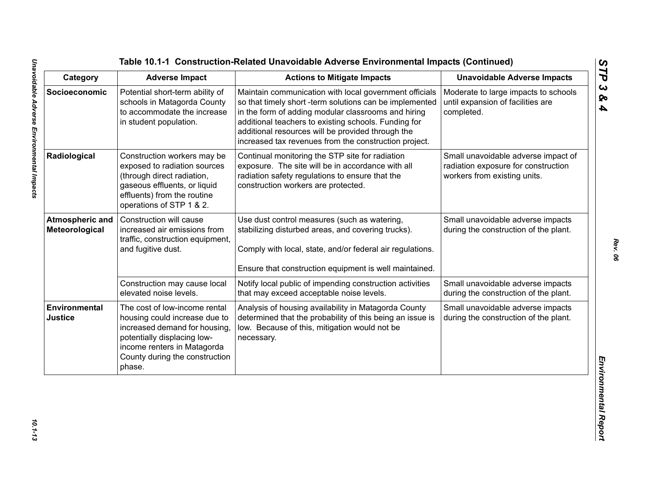| Category                                 | <b>Adverse Impact</b>                                                                                                                                                                                     | <b>Actions to Mitigate Impacts</b>                                                                                                                                                                                                                                                                                                             | <b>Unavoidable Adverse Impacts</b>                                                                         |
|------------------------------------------|-----------------------------------------------------------------------------------------------------------------------------------------------------------------------------------------------------------|------------------------------------------------------------------------------------------------------------------------------------------------------------------------------------------------------------------------------------------------------------------------------------------------------------------------------------------------|------------------------------------------------------------------------------------------------------------|
| Socioeconomic                            | Potential short-term ability of<br>schools in Matagorda County<br>to accommodate the increase<br>in student population.                                                                                   | Maintain communication with local government officials<br>so that timely short -term solutions can be implemented<br>in the form of adding modular classrooms and hiring<br>additional teachers to existing schools. Funding for<br>additional resources will be provided through the<br>increased tax revenues from the construction project. | Moderate to large impacts to schools<br>until expansion of facilities are<br>completed.                    |
| Radiological                             | Construction workers may be<br>exposed to radiation sources<br>(through direct radiation,<br>gaseous effluents, or liquid<br>effluents) from the routine<br>operations of STP 1 & 2.                      | Continual monitoring the STP site for radiation<br>exposure. The site will be in accordance with all<br>radiation safety regulations to ensure that the<br>construction workers are protected.                                                                                                                                                 | Small unavoidable adverse impact of<br>radiation exposure for construction<br>workers from existing units. |
| <b>Atmospheric and</b><br>Meteorological | Construction will cause<br>increased air emissions from<br>traffic, construction equipment,<br>and fugitive dust.                                                                                         | Use dust control measures (such as watering,<br>stabilizing disturbed areas, and covering trucks).<br>Comply with local, state, and/or federal air regulations.<br>Ensure that construction equipment is well maintained.                                                                                                                      | Small unavoidable adverse impacts<br>during the construction of the plant.                                 |
|                                          | Construction may cause local<br>elevated noise levels.                                                                                                                                                    | Notify local public of impending construction activities<br>that may exceed acceptable noise levels.                                                                                                                                                                                                                                           | Small unavoidable adverse impacts<br>during the construction of the plant.                                 |
| Environmental<br><b>Justice</b>          | The cost of low-income rental<br>housing could increase due to<br>increased demand for housing,<br>potentially displacing low-<br>income renters in Matagorda<br>County during the construction<br>phase. | Analysis of housing availability in Matagorda County<br>determined that the probability of this being an issue is<br>low. Because of this, mitigation would not be<br>necessary.                                                                                                                                                               | Small unavoidable adverse impacts<br>during the construction of the plant.                                 |

*STP 3 & 4*

10.1-13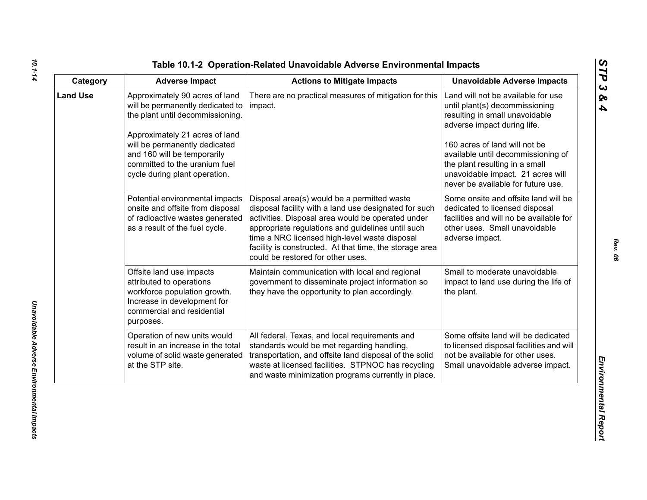| ທ |
|---|
|   |
| C |
| ట |
| ∞ |
| 4 |

| Category        | <b>Adverse Impact</b>                                                                                                                                                                                                                                                      | <b>Actions to Mitigate Impacts</b>                                                                                                                                                                                                                                                                                                                              | <b>Unavoidable Adverse Impacts</b>                                                                                                                                                                                                                                                                                        |
|-----------------|----------------------------------------------------------------------------------------------------------------------------------------------------------------------------------------------------------------------------------------------------------------------------|-----------------------------------------------------------------------------------------------------------------------------------------------------------------------------------------------------------------------------------------------------------------------------------------------------------------------------------------------------------------|---------------------------------------------------------------------------------------------------------------------------------------------------------------------------------------------------------------------------------------------------------------------------------------------------------------------------|
| <b>Land Use</b> | Approximately 90 acres of land<br>will be permanently dedicated to<br>the plant until decommissioning.<br>Approximately 21 acres of land<br>will be permanently dedicated<br>and 160 will be temporarily<br>committed to the uranium fuel<br>cycle during plant operation. | There are no practical measures of mitigation for this<br>impact.                                                                                                                                                                                                                                                                                               | Land will not be available for use<br>until plant(s) decommissioning<br>resulting in small unavoidable<br>adverse impact during life.<br>160 acres of land will not be<br>available until decommissioning of<br>the plant resulting in a small<br>unavoidable impact. 21 acres will<br>never be available for future use. |
|                 | Potential environmental impacts<br>onsite and offsite from disposal<br>of radioactive wastes generated<br>as a result of the fuel cycle.                                                                                                                                   | Disposal area(s) would be a permitted waste<br>disposal facility with a land use designated for such<br>activities. Disposal area would be operated under<br>appropriate regulations and guidelines until such<br>time a NRC licensed high-level waste disposal<br>facility is constructed. At that time, the storage area<br>could be restored for other uses. | Some onsite and offsite land will be<br>dedicated to licensed disposal<br>facilities and will no be available for<br>other uses. Small unavoidable<br>adverse impact.                                                                                                                                                     |
|                 | Offsite land use impacts<br>attributed to operations<br>workforce population growth.<br>Increase in development for<br>commercial and residential<br>purposes.                                                                                                             | Maintain communication with local and regional<br>government to disseminate project information so<br>they have the opportunity to plan accordingly.                                                                                                                                                                                                            | Small to moderate unavoidable<br>impact to land use during the life of<br>the plant.                                                                                                                                                                                                                                      |
|                 | Operation of new units would<br>result in an increase in the total<br>volume of solid waste generated<br>at the STP site.                                                                                                                                                  | All federal, Texas, and local requirements and<br>standards would be met regarding handling,<br>transportation, and offsite land disposal of the solid<br>waste at licensed facilities. STPNOC has recycling<br>and waste minimization programs currently in place.                                                                                             | Some offsite land will be dedicated<br>to licensed disposal facilities and will<br>not be available for other uses.<br>Small unavoidable adverse impact.                                                                                                                                                                  |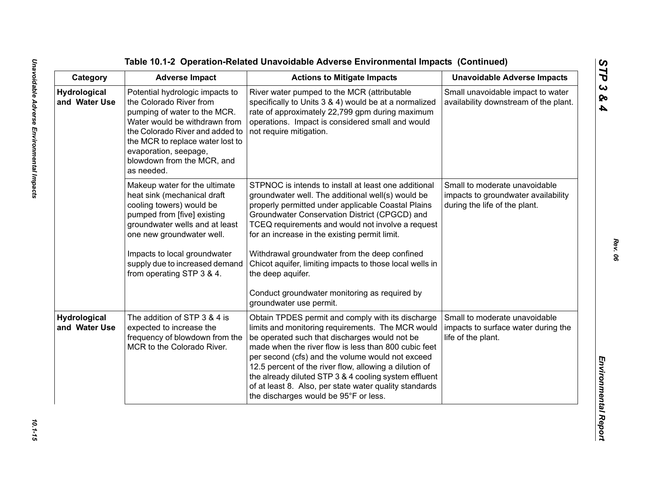Table 10.1-2 Operation-Related Unavoidable Adverse Emplore<br>
Category Adverse Impact<br>
Category Adverse Impact<br>
Marchard Involved Marcha Constant Action to Miligate Impacts<br>
Marchard Involved Marcha Constant Constant Constan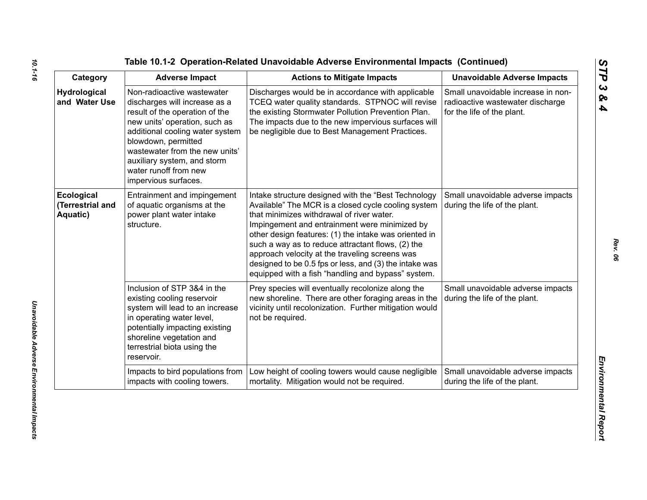| Category                                   | <b>Adverse Impact</b>                                                                                                                                                                                                                                                                                      | <b>Actions to Mitigate Impacts</b>                                                                                                                                                                                                                                                                                                                                                                                                                                                       | <b>Unavoidable Adverse Impacts</b>                                                                   |
|--------------------------------------------|------------------------------------------------------------------------------------------------------------------------------------------------------------------------------------------------------------------------------------------------------------------------------------------------------------|------------------------------------------------------------------------------------------------------------------------------------------------------------------------------------------------------------------------------------------------------------------------------------------------------------------------------------------------------------------------------------------------------------------------------------------------------------------------------------------|------------------------------------------------------------------------------------------------------|
| <b>Hydrological</b><br>and Water Use       | Non-radioactive wastewater<br>discharges will increase as a<br>result of the operation of the<br>new units' operation, such as<br>additional cooling water system<br>blowdown, permitted<br>wastewater from the new units'<br>auxiliary system, and storm<br>water runoff from new<br>impervious surfaces. | Discharges would be in accordance with applicable<br>TCEQ water quality standards. STPNOC will revise<br>the existing Stormwater Pollution Prevention Plan.<br>The impacts due to the new impervious surfaces will<br>be negligible due to Best Management Practices.                                                                                                                                                                                                                    | Small unavoidable increase in non-<br>radioactive wastewater discharge<br>for the life of the plant. |
| Ecological<br>(Terrestrial and<br>Aquatic) | Entrainment and impingement<br>of aquatic organisms at the<br>power plant water intake<br>structure.                                                                                                                                                                                                       | Intake structure designed with the "Best Technology<br>Available" The MCR is a closed cycle cooling system<br>that minimizes withdrawal of river water.<br>Impingement and entrainment were minimized by<br>other design features: (1) the intake was oriented in<br>such a way as to reduce attractant flows, (2) the<br>approach velocity at the traveling screens was<br>designed to be 0.5 fps or less, and (3) the intake was<br>equipped with a fish "handling and bypass" system. | Small unavoidable adverse impacts<br>during the life of the plant.                                   |
|                                            | Inclusion of STP 3&4 in the<br>existing cooling reservoir<br>system will lead to an increase<br>in operating water level,<br>potentially impacting existing<br>shoreline vegetation and<br>terrestrial biota using the<br>reservoir.                                                                       | Prey species will eventually recolonize along the<br>new shoreline. There are other foraging areas in the<br>vicinity until recolonization. Further mitigation would<br>not be required.                                                                                                                                                                                                                                                                                                 | Small unavoidable adverse impacts<br>during the life of the plant.                                   |
|                                            | Impacts to bird populations from<br>impacts with cooling towers.                                                                                                                                                                                                                                           | Low height of cooling towers would cause negligible<br>mortality. Mitigation would not be required.                                                                                                                                                                                                                                                                                                                                                                                      | Small unavoidable adverse impacts<br>during the life of the plant.                                   |